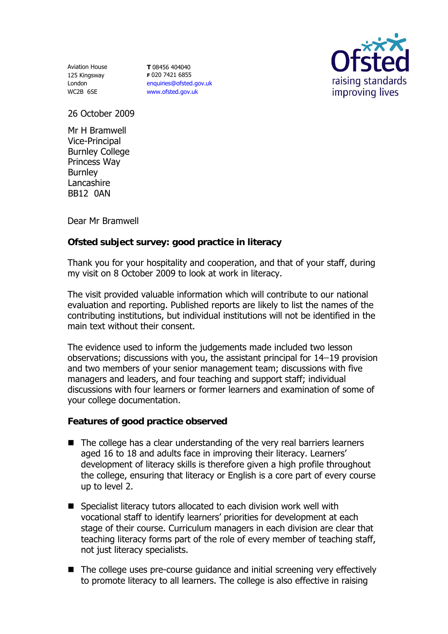Aviation House 125 Kingsway London WC2B 6SE

**T** 08456 404040 **F** 020 7421 6855 enquiries@ofsted.gov.uk www.ofsted.gov.uk



26 October 2009

Mr H Bramwell Vice-Principal Burnley College Princess Way **Burnley** Lancashire BB12 0AN

Dear Mr Bramwell

## **Ofsted subject survey: good practice in literacy**

Thank you for your hospitality and cooperation, and that of your staff, during my visit on 8 October 2009 to look at work in literacy.

The visit provided valuable information which will contribute to our national evaluation and reporting. Published reports are likely to list the names of the contributing institutions, but individual institutions will not be identified in the main text without their consent.

The evidence used to inform the judgements made included two lesson observations; discussions with you, the assistant principal for  $14-19$  provision and two members of your senior management team; discussions with five managers and leaders, and four teaching and support staff; individual discussions with four learners or former learners and examination of some of your college documentation.

**Features of good practice observed**

- The college has a clear understanding of the very real barriers learners aged 16 to 18 and adults face in improving their literacy. Learners' development of literacy skills is therefore given a high profile throughout the college, ensuring that literacy or English is a core part of every course up to level 2.
- Specialist literacy tutors allocated to each division work well with vocational staff to identify learners' priorities for development at each stage of their course. Curriculum managers in each division are clear that teaching literacy forms part of the role of every member of teaching staff, not just literacy specialists.
- The college uses pre-course guidance and initial screening very effectively to promote literacy to all learners. The college is also effective in raising